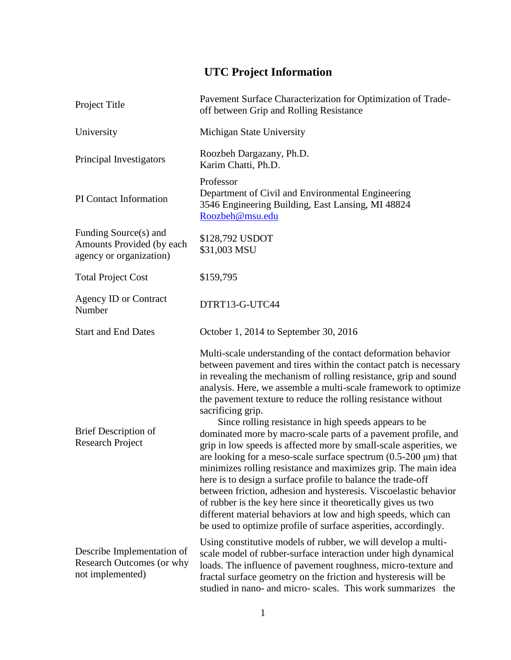## **UTC Project Information**

| Project Title                                                                 | Pavement Surface Characterization for Optimization of Trade-<br>off between Grip and Rolling Resistance                                                                                                                                                                                                                                                                                                                                                                                                                                                                                                                                                                                                                                                                                                                                                                                                                                                                                                                                              |
|-------------------------------------------------------------------------------|------------------------------------------------------------------------------------------------------------------------------------------------------------------------------------------------------------------------------------------------------------------------------------------------------------------------------------------------------------------------------------------------------------------------------------------------------------------------------------------------------------------------------------------------------------------------------------------------------------------------------------------------------------------------------------------------------------------------------------------------------------------------------------------------------------------------------------------------------------------------------------------------------------------------------------------------------------------------------------------------------------------------------------------------------|
| University                                                                    | Michigan State University                                                                                                                                                                                                                                                                                                                                                                                                                                                                                                                                                                                                                                                                                                                                                                                                                                                                                                                                                                                                                            |
| Principal Investigators                                                       | Roozbeh Dargazany, Ph.D.<br>Karim Chatti, Ph.D.                                                                                                                                                                                                                                                                                                                                                                                                                                                                                                                                                                                                                                                                                                                                                                                                                                                                                                                                                                                                      |
| PI Contact Information                                                        | Professor<br>Department of Civil and Environmental Engineering<br>3546 Engineering Building, East Lansing, MI 48824<br>Roozbeh@msu.edu                                                                                                                                                                                                                                                                                                                                                                                                                                                                                                                                                                                                                                                                                                                                                                                                                                                                                                               |
| Funding Source(s) and<br>Amounts Provided (by each<br>agency or organization) | \$128,792 USDOT<br>\$31,003 MSU                                                                                                                                                                                                                                                                                                                                                                                                                                                                                                                                                                                                                                                                                                                                                                                                                                                                                                                                                                                                                      |
| <b>Total Project Cost</b>                                                     | \$159,795                                                                                                                                                                                                                                                                                                                                                                                                                                                                                                                                                                                                                                                                                                                                                                                                                                                                                                                                                                                                                                            |
| <b>Agency ID or Contract</b><br>Number                                        | DTRT13-G-UTC44                                                                                                                                                                                                                                                                                                                                                                                                                                                                                                                                                                                                                                                                                                                                                                                                                                                                                                                                                                                                                                       |
| <b>Start and End Dates</b>                                                    | October 1, 2014 to September 30, 2016                                                                                                                                                                                                                                                                                                                                                                                                                                                                                                                                                                                                                                                                                                                                                                                                                                                                                                                                                                                                                |
| <b>Brief Description of</b><br><b>Research Project</b>                        | Multi-scale understanding of the contact deformation behavior<br>between pavement and tires within the contact patch is necessary<br>in revealing the mechanism of rolling resistance, grip and sound<br>analysis. Here, we assemble a multi-scale framework to optimize<br>the pavement texture to reduce the rolling resistance without<br>sacrificing grip.<br>Since rolling resistance in high speeds appears to be<br>dominated more by macro-scale parts of a pavement profile, and<br>grip in low speeds is affected more by small-scale asperities, we<br>are looking for a meso-scale surface spectrum $(0.5\n-200 \mu m)$ that<br>minimizes rolling resistance and maximizes grip. The main idea<br>here is to design a surface profile to balance the trade-off<br>between friction, adhesion and hysteresis. Viscoelastic behavior<br>of rubber is the key here since it theoretically gives us two<br>different material behaviors at low and high speeds, which can<br>be used to optimize profile of surface asperities, accordingly. |
| Describe Implementation of<br>Research Outcomes (or why<br>not implemented)   | Using constitutive models of rubber, we will develop a multi-<br>scale model of rubber-surface interaction under high dynamical<br>loads. The influence of pavement roughness, micro-texture and<br>fractal surface geometry on the friction and hysteresis will be<br>studied in nano- and micro- scales. This work summarizes the                                                                                                                                                                                                                                                                                                                                                                                                                                                                                                                                                                                                                                                                                                                  |